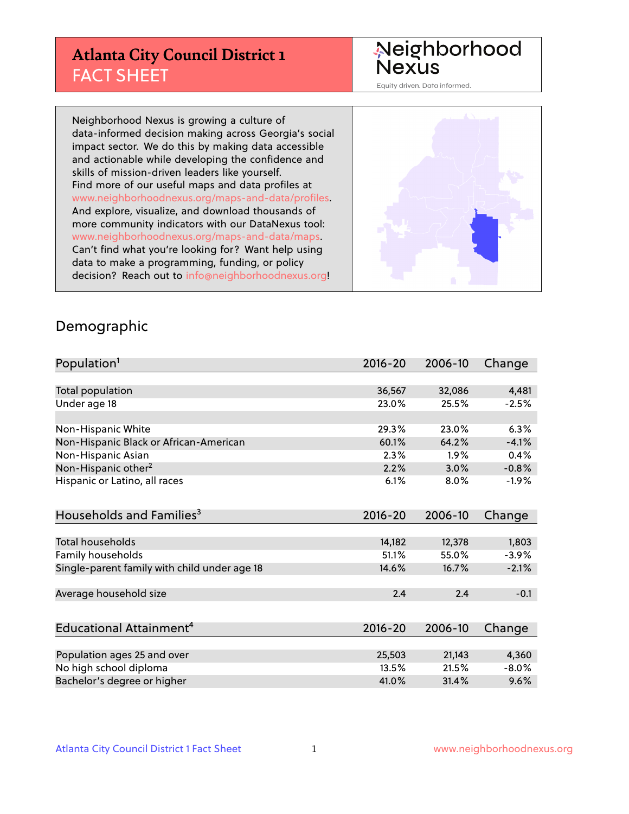# **Atlanta City Council District 1** FACT SHEET

#### Neighborhood Nexus

Equity driven. Data informed.

Neighborhood Nexus is growing a culture of data-informed decision making across Georgia's social impact sector. We do this by making data accessible and actionable while developing the confidence and skills of mission-driven leaders like yourself. Find more of our useful maps and data profiles at www.neighborhoodnexus.org/maps-and-data/profiles. And explore, visualize, and download thousands of more community indicators with our DataNexus tool: www.neighborhoodnexus.org/maps-and-data/maps. Can't find what you're looking for? Want help using data to make a programming, funding, or policy decision? Reach out to [info@neighborhoodnexus.org!](mailto:info@neighborhoodnexus.org)



#### Demographic

| Population <sup>1</sup>                      | $2016 - 20$ | 2006-10 | Change   |
|----------------------------------------------|-------------|---------|----------|
|                                              |             |         |          |
| Total population                             | 36,567      | 32,086  | 4,481    |
| Under age 18                                 | 23.0%       | 25.5%   | $-2.5%$  |
|                                              |             |         |          |
| Non-Hispanic White                           | 29.3%       | 23.0%   | 6.3%     |
| Non-Hispanic Black or African-American       | 60.1%       | 64.2%   | $-4.1%$  |
| Non-Hispanic Asian                           | 2.3%        | 1.9%    | 0.4%     |
| Non-Hispanic other <sup>2</sup>              | 2.2%        | 3.0%    | $-0.8%$  |
| Hispanic or Latino, all races                | 6.1%        | 8.0%    | $-1.9%$  |
|                                              |             |         |          |
| Households and Families <sup>3</sup>         | $2016 - 20$ | 2006-10 | Change   |
|                                              |             |         |          |
| <b>Total households</b>                      | 14,182      | 12,378  | 1,803    |
| Family households                            | 51.1%       | 55.0%   | $-3.9%$  |
| Single-parent family with child under age 18 | 14.6%       | 16.7%   | $-2.1%$  |
|                                              |             |         |          |
| Average household size                       | 2.4         | 2.4     | $-0.1$   |
|                                              |             |         |          |
| Educational Attainment <sup>4</sup>          | 2016-20     | 2006-10 | Change   |
|                                              |             |         |          |
| Population ages 25 and over                  | 25,503      | 21,143  | 4,360    |
| No high school diploma                       | 13.5%       | 21.5%   | $-8.0\%$ |
| Bachelor's degree or higher                  | 41.0%       | 31.4%   | 9.6%     |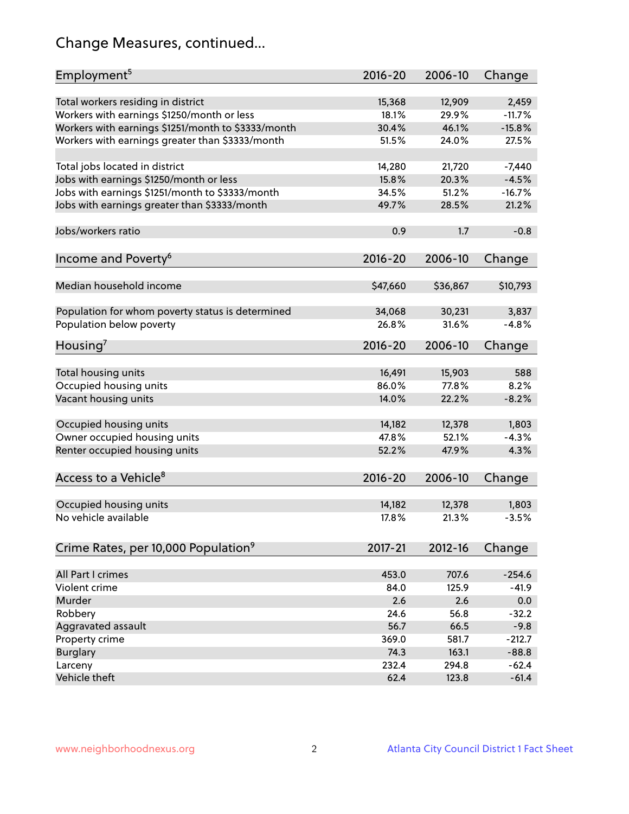# Change Measures, continued...

| Employment <sup>5</sup>                            | $2016 - 20$ | 2006-10  | Change   |
|----------------------------------------------------|-------------|----------|----------|
|                                                    |             |          |          |
| Total workers residing in district                 | 15,368      | 12,909   | 2,459    |
| Workers with earnings \$1250/month or less         | 18.1%       | 29.9%    | $-11.7%$ |
| Workers with earnings \$1251/month to \$3333/month | 30.4%       | 46.1%    | $-15.8%$ |
| Workers with earnings greater than \$3333/month    | 51.5%       | 24.0%    | 27.5%    |
| Total jobs located in district                     | 14,280      | 21,720   | $-7,440$ |
| Jobs with earnings \$1250/month or less            | 15.8%       | 20.3%    | $-4.5%$  |
| Jobs with earnings \$1251/month to \$3333/month    | 34.5%       | 51.2%    | $-16.7%$ |
|                                                    |             |          |          |
| Jobs with earnings greater than \$3333/month       | 49.7%       | 28.5%    | 21.2%    |
| Jobs/workers ratio                                 | 0.9         | 1.7      | $-0.8$   |
| Income and Poverty <sup>6</sup>                    | $2016 - 20$ | 2006-10  | Change   |
|                                                    |             |          |          |
| Median household income                            | \$47,660    | \$36,867 | \$10,793 |
|                                                    |             |          |          |
| Population for whom poverty status is determined   | 34,068      | 30,231   | 3,837    |
| Population below poverty                           | 26.8%       | 31.6%    | $-4.8%$  |
| Housing <sup>7</sup>                               | $2016 - 20$ | 2006-10  | Change   |
|                                                    |             |          |          |
| Total housing units                                | 16,491      | 15,903   | 588      |
| Occupied housing units                             | 86.0%       | 77.8%    | 8.2%     |
| Vacant housing units                               | 14.0%       | 22.2%    | $-8.2%$  |
| Occupied housing units                             |             | 12,378   |          |
|                                                    | 14,182      |          | 1,803    |
| Owner occupied housing units                       | 47.8%       | 52.1%    | $-4.3%$  |
| Renter occupied housing units                      | 52.2%       | 47.9%    | 4.3%     |
| Access to a Vehicle <sup>8</sup>                   | $2016 - 20$ | 2006-10  | Change   |
|                                                    |             |          |          |
| Occupied housing units                             | 14,182      | 12,378   | 1,803    |
| No vehicle available                               | 17.8%       | 21.3%    | $-3.5%$  |
|                                                    |             |          |          |
| Crime Rates, per 10,000 Population <sup>9</sup>    | 2017-21     | 2012-16  | Change   |
|                                                    |             |          |          |
| All Part I crimes                                  | 453.0       | 707.6    | $-254.6$ |
| Violent crime                                      | 84.0        | 125.9    | $-41.9$  |
| Murder                                             | 2.6         | 2.6      | 0.0      |
| Robbery                                            | 24.6        | 56.8     | $-32.2$  |
| Aggravated assault                                 | 56.7        | 66.5     | $-9.8$   |
| Property crime                                     | 369.0       | 581.7    | $-212.7$ |
| <b>Burglary</b>                                    | 74.3        | 163.1    | $-88.8$  |
| Larceny                                            | 232.4       | 294.8    | $-62.4$  |
| Vehicle theft                                      | 62.4        | 123.8    | $-61.4$  |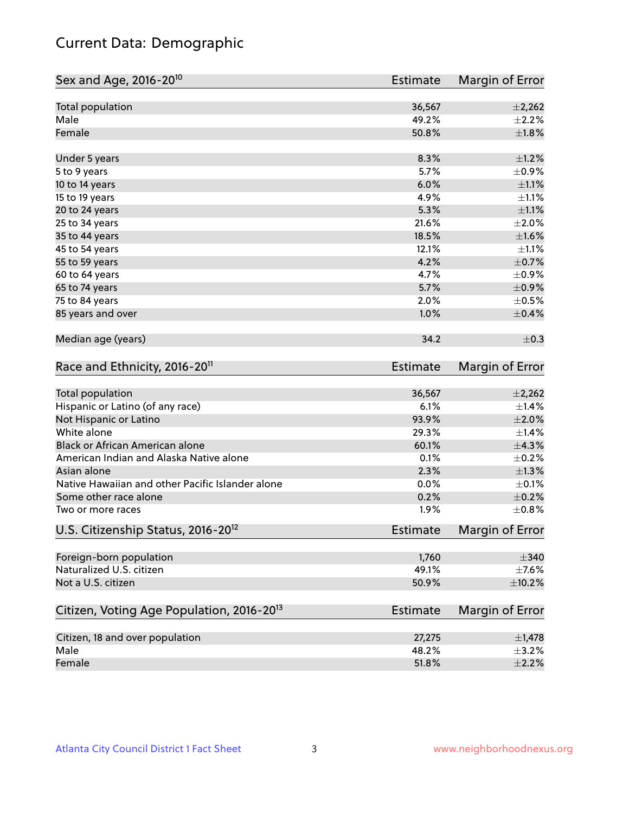# Current Data: Demographic

| Total population<br>36,567<br>$\pm$ 2,262<br>Male<br>49.2%<br>Female<br>50.8%<br>8.3%<br>$\pm 1.2\%$<br>Under 5 years<br>5.7%<br>5 to 9 years<br>6.0%<br>10 to 14 years<br>4.9%<br>15 to 19 years<br>5.3%<br>20 to 24 years<br>21.6%<br>25 to 34 years<br>18.5%<br>35 to 44 years<br>12.1%<br>45 to 54 years<br>55 to 59 years<br>4.2%<br>4.7%<br>60 to 64 years<br>5.7%<br>65 to 74 years<br>2.0%<br>75 to 84 years<br>85 years and over<br>1.0%<br>Median age (years)<br>34.2<br>Race and Ethnicity, 2016-20 <sup>11</sup><br><b>Estimate</b><br><b>Total population</b><br>36,567<br>Hispanic or Latino (of any race)<br>6.1%<br>Not Hispanic or Latino<br>93.9%<br>White alone<br>29.3%<br>Black or African American alone<br>60.1%<br>American Indian and Alaska Native alone<br>0.1%<br>Asian alone<br>2.3%<br>Native Hawaiian and other Pacific Islander alone<br>0.0%<br>0.2%<br>Some other race alone<br>1.9%<br>Two or more races<br>U.S. Citizenship Status, 2016-20 <sup>12</sup><br><b>Estimate</b><br>Foreign-born population<br>1,760<br>Naturalized U.S. citizen<br>49.1%<br>Not a U.S. citizen<br>50.9%<br>Citizen, Voting Age Population, 2016-20 <sup>13</sup><br>Estimate<br>Citizen, 18 and over population<br>27,275<br>Male<br>48.2% | Sex and Age, 2016-20 <sup>10</sup> | <b>Estimate</b> | Margin of Error |
|-------------------------------------------------------------------------------------------------------------------------------------------------------------------------------------------------------------------------------------------------------------------------------------------------------------------------------------------------------------------------------------------------------------------------------------------------------------------------------------------------------------------------------------------------------------------------------------------------------------------------------------------------------------------------------------------------------------------------------------------------------------------------------------------------------------------------------------------------------------------------------------------------------------------------------------------------------------------------------------------------------------------------------------------------------------------------------------------------------------------------------------------------------------------------------------------------------------------------------------------------------------|------------------------------------|-----------------|-----------------|
| $\pm 2.2\%$<br>$\pm1.8\%$<br>$\pm$ 0.9%<br>$\pm 1.1\%$<br>$\pm 1.1\%$<br>$\pm 1.1\%$<br>$\pm 2.0\%$<br>±1.6%<br>$\pm 1.1\%$<br>$\pm$ 0.7%<br>$\pm$ 0.9%<br>$\pm$ 0.9%<br>$\pm$ 0.5%<br>$\pm$ 0.4%<br>$\pm$ 0.3<br>Margin of Error<br>$\pm$ 2,262<br>±1.4%<br>$\pm 2.0\%$<br>$\pm$ 1.4%<br>±4.3%<br>$\pm$ 0.2%<br>$\pm 1.3\%$<br>$\pm$ 0.1%<br>$\pm$ 0.2%<br>±0.8%<br>Margin of Error<br>$\pm$ 340<br>$\pm$ 7.6%<br>$\pm$ 10.2%<br>Margin of Error                                                                                                                                                                                                                                                                                                                                                                                                                                                                                                                                                                                                                                                                                                                                                                                                           |                                    |                 |                 |
|                                                                                                                                                                                                                                                                                                                                                                                                                                                                                                                                                                                                                                                                                                                                                                                                                                                                                                                                                                                                                                                                                                                                                                                                                                                             |                                    |                 |                 |
|                                                                                                                                                                                                                                                                                                                                                                                                                                                                                                                                                                                                                                                                                                                                                                                                                                                                                                                                                                                                                                                                                                                                                                                                                                                             |                                    |                 |                 |
|                                                                                                                                                                                                                                                                                                                                                                                                                                                                                                                                                                                                                                                                                                                                                                                                                                                                                                                                                                                                                                                                                                                                                                                                                                                             |                                    |                 |                 |
|                                                                                                                                                                                                                                                                                                                                                                                                                                                                                                                                                                                                                                                                                                                                                                                                                                                                                                                                                                                                                                                                                                                                                                                                                                                             |                                    |                 |                 |
|                                                                                                                                                                                                                                                                                                                                                                                                                                                                                                                                                                                                                                                                                                                                                                                                                                                                                                                                                                                                                                                                                                                                                                                                                                                             |                                    |                 |                 |
|                                                                                                                                                                                                                                                                                                                                                                                                                                                                                                                                                                                                                                                                                                                                                                                                                                                                                                                                                                                                                                                                                                                                                                                                                                                             |                                    |                 |                 |
|                                                                                                                                                                                                                                                                                                                                                                                                                                                                                                                                                                                                                                                                                                                                                                                                                                                                                                                                                                                                                                                                                                                                                                                                                                                             |                                    |                 |                 |
|                                                                                                                                                                                                                                                                                                                                                                                                                                                                                                                                                                                                                                                                                                                                                                                                                                                                                                                                                                                                                                                                                                                                                                                                                                                             |                                    |                 |                 |
|                                                                                                                                                                                                                                                                                                                                                                                                                                                                                                                                                                                                                                                                                                                                                                                                                                                                                                                                                                                                                                                                                                                                                                                                                                                             |                                    |                 |                 |
|                                                                                                                                                                                                                                                                                                                                                                                                                                                                                                                                                                                                                                                                                                                                                                                                                                                                                                                                                                                                                                                                                                                                                                                                                                                             |                                    |                 |                 |
|                                                                                                                                                                                                                                                                                                                                                                                                                                                                                                                                                                                                                                                                                                                                                                                                                                                                                                                                                                                                                                                                                                                                                                                                                                                             |                                    |                 |                 |
|                                                                                                                                                                                                                                                                                                                                                                                                                                                                                                                                                                                                                                                                                                                                                                                                                                                                                                                                                                                                                                                                                                                                                                                                                                                             |                                    |                 |                 |
|                                                                                                                                                                                                                                                                                                                                                                                                                                                                                                                                                                                                                                                                                                                                                                                                                                                                                                                                                                                                                                                                                                                                                                                                                                                             |                                    |                 |                 |
|                                                                                                                                                                                                                                                                                                                                                                                                                                                                                                                                                                                                                                                                                                                                                                                                                                                                                                                                                                                                                                                                                                                                                                                                                                                             |                                    |                 |                 |
|                                                                                                                                                                                                                                                                                                                                                                                                                                                                                                                                                                                                                                                                                                                                                                                                                                                                                                                                                                                                                                                                                                                                                                                                                                                             |                                    |                 |                 |
|                                                                                                                                                                                                                                                                                                                                                                                                                                                                                                                                                                                                                                                                                                                                                                                                                                                                                                                                                                                                                                                                                                                                                                                                                                                             |                                    |                 |                 |
|                                                                                                                                                                                                                                                                                                                                                                                                                                                                                                                                                                                                                                                                                                                                                                                                                                                                                                                                                                                                                                                                                                                                                                                                                                                             |                                    |                 |                 |
|                                                                                                                                                                                                                                                                                                                                                                                                                                                                                                                                                                                                                                                                                                                                                                                                                                                                                                                                                                                                                                                                                                                                                                                                                                                             |                                    |                 |                 |
|                                                                                                                                                                                                                                                                                                                                                                                                                                                                                                                                                                                                                                                                                                                                                                                                                                                                                                                                                                                                                                                                                                                                                                                                                                                             |                                    |                 |                 |
|                                                                                                                                                                                                                                                                                                                                                                                                                                                                                                                                                                                                                                                                                                                                                                                                                                                                                                                                                                                                                                                                                                                                                                                                                                                             |                                    |                 |                 |
|                                                                                                                                                                                                                                                                                                                                                                                                                                                                                                                                                                                                                                                                                                                                                                                                                                                                                                                                                                                                                                                                                                                                                                                                                                                             |                                    |                 |                 |
|                                                                                                                                                                                                                                                                                                                                                                                                                                                                                                                                                                                                                                                                                                                                                                                                                                                                                                                                                                                                                                                                                                                                                                                                                                                             |                                    |                 |                 |
|                                                                                                                                                                                                                                                                                                                                                                                                                                                                                                                                                                                                                                                                                                                                                                                                                                                                                                                                                                                                                                                                                                                                                                                                                                                             |                                    |                 |                 |
|                                                                                                                                                                                                                                                                                                                                                                                                                                                                                                                                                                                                                                                                                                                                                                                                                                                                                                                                                                                                                                                                                                                                                                                                                                                             |                                    |                 |                 |
|                                                                                                                                                                                                                                                                                                                                                                                                                                                                                                                                                                                                                                                                                                                                                                                                                                                                                                                                                                                                                                                                                                                                                                                                                                                             |                                    |                 |                 |
|                                                                                                                                                                                                                                                                                                                                                                                                                                                                                                                                                                                                                                                                                                                                                                                                                                                                                                                                                                                                                                                                                                                                                                                                                                                             |                                    |                 |                 |
|                                                                                                                                                                                                                                                                                                                                                                                                                                                                                                                                                                                                                                                                                                                                                                                                                                                                                                                                                                                                                                                                                                                                                                                                                                                             |                                    |                 |                 |
|                                                                                                                                                                                                                                                                                                                                                                                                                                                                                                                                                                                                                                                                                                                                                                                                                                                                                                                                                                                                                                                                                                                                                                                                                                                             |                                    |                 |                 |
|                                                                                                                                                                                                                                                                                                                                                                                                                                                                                                                                                                                                                                                                                                                                                                                                                                                                                                                                                                                                                                                                                                                                                                                                                                                             |                                    |                 |                 |
|                                                                                                                                                                                                                                                                                                                                                                                                                                                                                                                                                                                                                                                                                                                                                                                                                                                                                                                                                                                                                                                                                                                                                                                                                                                             |                                    |                 |                 |
|                                                                                                                                                                                                                                                                                                                                                                                                                                                                                                                                                                                                                                                                                                                                                                                                                                                                                                                                                                                                                                                                                                                                                                                                                                                             |                                    |                 |                 |
| $\pm$ 1,478<br>$\pm$ 3.2%                                                                                                                                                                                                                                                                                                                                                                                                                                                                                                                                                                                                                                                                                                                                                                                                                                                                                                                                                                                                                                                                                                                                                                                                                                   |                                    |                 |                 |
|                                                                                                                                                                                                                                                                                                                                                                                                                                                                                                                                                                                                                                                                                                                                                                                                                                                                                                                                                                                                                                                                                                                                                                                                                                                             |                                    |                 |                 |
|                                                                                                                                                                                                                                                                                                                                                                                                                                                                                                                                                                                                                                                                                                                                                                                                                                                                                                                                                                                                                                                                                                                                                                                                                                                             |                                    |                 |                 |
| 51.8%<br>$\pm 2.2\%$                                                                                                                                                                                                                                                                                                                                                                                                                                                                                                                                                                                                                                                                                                                                                                                                                                                                                                                                                                                                                                                                                                                                                                                                                                        | Female                             |                 |                 |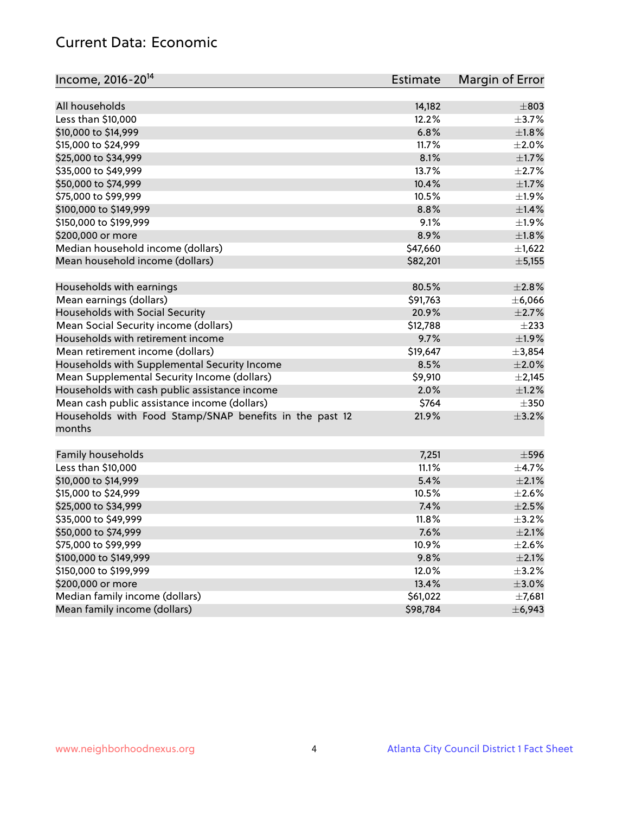## Current Data: Economic

| Income, 2016-20 <sup>14</sup>                           | <b>Estimate</b> | Margin of Error           |
|---------------------------------------------------------|-----------------|---------------------------|
| All households                                          | 14,182          | $\pm 803$                 |
| Less than \$10,000                                      | 12.2%           | $\pm$ 3.7%                |
| \$10,000 to \$14,999                                    | 6.8%            | $\pm1.8\%$                |
| \$15,000 to \$24,999                                    |                 | $\pm 2.0\%$               |
|                                                         | 11.7%           |                           |
| \$25,000 to \$34,999                                    | 8.1%            | $\pm 1.7\%$               |
| \$35,000 to \$49,999                                    | 13.7%           | $\pm 2.7\%$               |
| \$50,000 to \$74,999                                    | 10.4%           | $\pm1.7\%$                |
| \$75,000 to \$99,999                                    | 10.5%           | $\pm$ 1.9%                |
| \$100,000 to \$149,999                                  | 8.8%            | ±1.4%                     |
| \$150,000 to \$199,999                                  | 9.1%            | ±1.9%                     |
| \$200,000 or more                                       | 8.9%            | $\pm1.8\%$                |
| Median household income (dollars)                       | \$47,660        | $\pm$ 1,622               |
| Mean household income (dollars)                         | \$82,201        | ± 5,155                   |
| Households with earnings                                | 80.5%           | $\pm 2.8\%$               |
| Mean earnings (dollars)                                 | \$91,763        | ±6,066                    |
| Households with Social Security                         | 20.9%           | $\pm 2.7\%$               |
| Mean Social Security income (dollars)                   | \$12,788        | $\pm 233$                 |
| Households with retirement income                       | 9.7%            | ±1.9%                     |
| Mean retirement income (dollars)                        | \$19,647        | ±3,854                    |
| Households with Supplemental Security Income            | 8.5%            | $\pm 2.0\%$               |
| Mean Supplemental Security Income (dollars)             | \$9,910         | $\pm 2,145$               |
| Households with cash public assistance income           | 2.0%            | $\pm1.2\%$                |
| Mean cash public assistance income (dollars)            | \$764           | $\pm 350$                 |
| Households with Food Stamp/SNAP benefits in the past 12 | 21.9%           | $\pm$ 3.2%                |
| months                                                  |                 |                           |
| Family households                                       | 7,251           | $\pm$ 596                 |
| Less than \$10,000                                      | 11.1%           | $\pm$ 4.7%                |
| \$10,000 to \$14,999                                    | 5.4%            | $\pm 2.1\%$               |
| \$15,000 to \$24,999                                    | 10.5%           | $\pm 2.6\%$               |
|                                                         | 7.4%            |                           |
| \$25,000 to \$34,999                                    | 11.8%           | $\pm 2.5\%$<br>$\pm$ 3.2% |
| \$35,000 to \$49,999                                    |                 |                           |
| \$50,000 to \$74,999                                    | 7.6%            | $\pm 2.1\%$               |
| \$75,000 to \$99,999                                    | 10.9%           | $\pm 2.6\%$               |
| \$100,000 to \$149,999                                  | 9.8%            | $\pm 2.1\%$               |
| \$150,000 to \$199,999                                  | 12.0%           | $\pm$ 3.2%                |
| \$200,000 or more                                       | 13.4%           | $\pm 3.0\%$               |
| Median family income (dollars)                          | \$61,022        | ±7,681                    |
| Mean family income (dollars)                            | \$98,784        | ± 6,943                   |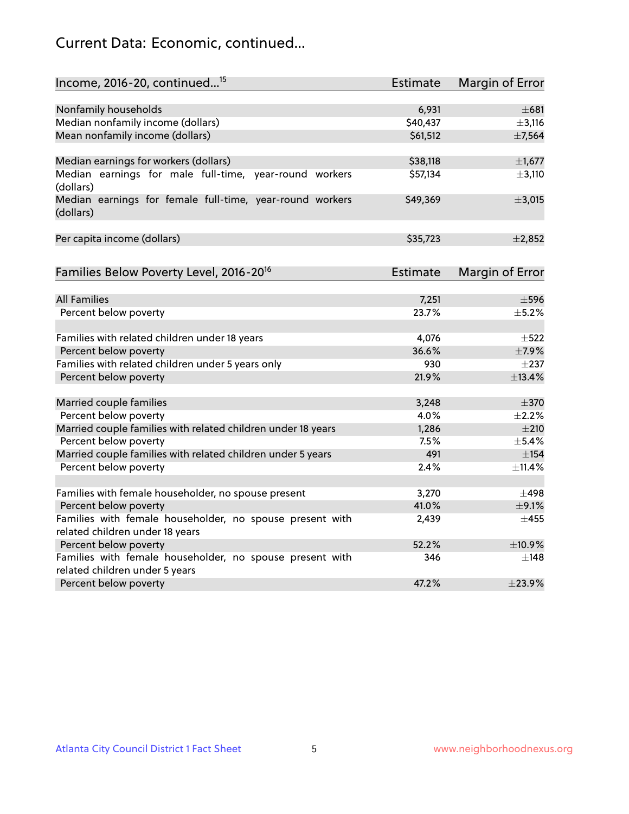# Current Data: Economic, continued...

| Income, 2016-20, continued <sup>15</sup>                              | <b>Estimate</b> | <b>Margin of Error</b> |
|-----------------------------------------------------------------------|-----------------|------------------------|
|                                                                       |                 |                        |
| Nonfamily households                                                  | 6,931           | $\pm 681$              |
| Median nonfamily income (dollars)                                     | \$40,437        | $\pm$ 3,116            |
| Mean nonfamily income (dollars)                                       | \$61,512        | ±7,564                 |
| Median earnings for workers (dollars)                                 | \$38,118        | $\pm$ 1,677            |
| Median earnings for male full-time, year-round workers<br>(dollars)   | \$57,134        | $\pm$ 3,110            |
| Median earnings for female full-time, year-round workers<br>(dollars) | \$49,369        | ±3,015                 |
| Per capita income (dollars)                                           | \$35,723        | $\pm 2,852$            |
| Families Below Poverty Level, 2016-20 <sup>16</sup>                   | <b>Estimate</b> | <b>Margin of Error</b> |
|                                                                       |                 |                        |
| <b>All Families</b>                                                   | 7,251           | $\pm$ 596              |
| Percent below poverty                                                 | 23.7%           | $+5.2%$                |
| Families with related children under 18 years                         | 4,076           | $\pm$ 522              |
| Percent below poverty                                                 | 36.6%           | ±7.9%                  |
| Families with related children under 5 years only                     | 930             | $\pm 237$              |
| Percent below poverty                                                 | 21.9%           | ±13.4%                 |
| Married couple families                                               | 3,248           | $\pm$ 370              |
| Percent below poverty                                                 | 4.0%            | $\pm 2.2\%$            |
| Married couple families with related children under 18 years          | 1,286           | $\pm 210$              |
| Percent below poverty                                                 | 7.5%            | $\pm$ 5.4%             |
| Married couple families with related children under 5 years           | 491             | ±154                   |
| Percent below poverty                                                 | 2.4%            | ±11.4%                 |
| Families with female householder, no spouse present                   | 3,270           | $\pm$ 498              |
| Percent below poverty                                                 | 41.0%           | $\pm$ 9.1%             |
| Families with female householder, no spouse present with              | 2,439           | $\pm 455$              |
| related children under 18 years                                       |                 |                        |
| Percent below poverty                                                 | 52.2%           | ±10.9%                 |
| Families with female householder, no spouse present with              | 346             | $\pm$ 148              |
| related children under 5 years                                        |                 |                        |
| Percent below poverty                                                 | 47.2%           | ±23.9%                 |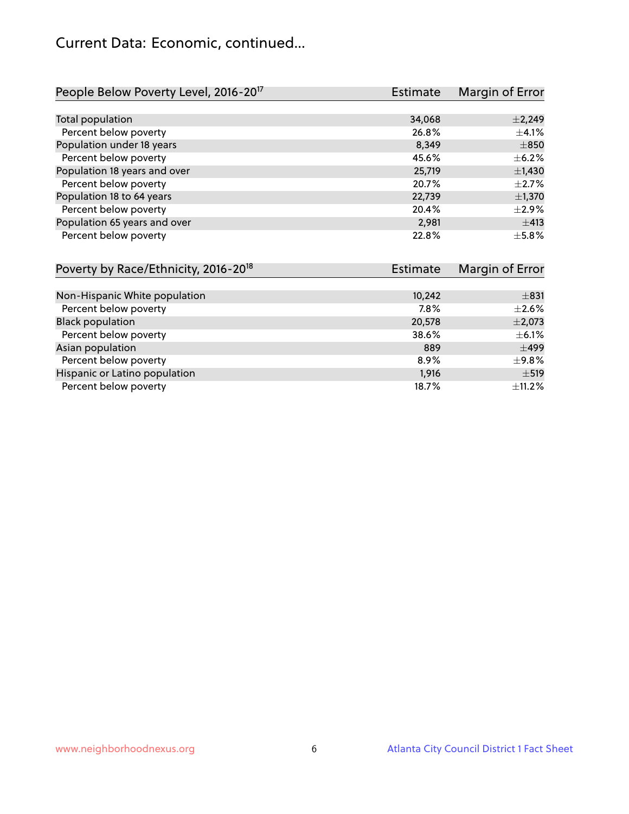## Current Data: Economic, continued...

| People Below Poverty Level, 2016-20 <sup>17</sup> | Estimate | Margin of Error |
|---------------------------------------------------|----------|-----------------|
|                                                   |          |                 |
| Total population                                  | 34,068   | $\pm 2,249$     |
| Percent below poverty                             | 26.8%    | $\pm$ 4.1%      |
| Population under 18 years                         | 8,349    | $\pm 850$       |
| Percent below poverty                             | 45.6%    | $\pm$ 6.2%      |
| Population 18 years and over                      | 25,719   | $\pm$ 1,430     |
| Percent below poverty                             | 20.7%    | $\pm 2.7\%$     |
| Population 18 to 64 years                         | 22,739   | $\pm$ 1,370     |
| Percent below poverty                             | 20.4%    | $\pm 2.9\%$     |
| Population 65 years and over                      | 2,981    | ±413            |
| Percent below poverty                             | 22.8%    | $\pm$ 5.8%      |

| Poverty by Race/Ethnicity, 2016-20 <sup>18</sup> | <b>Estimate</b> |             |
|--------------------------------------------------|-----------------|-------------|
|                                                  |                 |             |
| Non-Hispanic White population                    | 10,242          | $\pm$ 831   |
| Percent below poverty                            | 7.8%            | $\pm 2.6\%$ |
| <b>Black population</b>                          | 20,578          | $\pm 2,073$ |
| Percent below poverty                            | 38.6%           | $\pm$ 6.1%  |
| Asian population                                 | 889             | $\pm$ 499   |
| Percent below poverty                            | 8.9%            | ±9.8%       |
| Hispanic or Latino population                    | 1,916           | $\pm$ 519   |
| Percent below poverty                            | 18.7%           | $\pm$ 11.2% |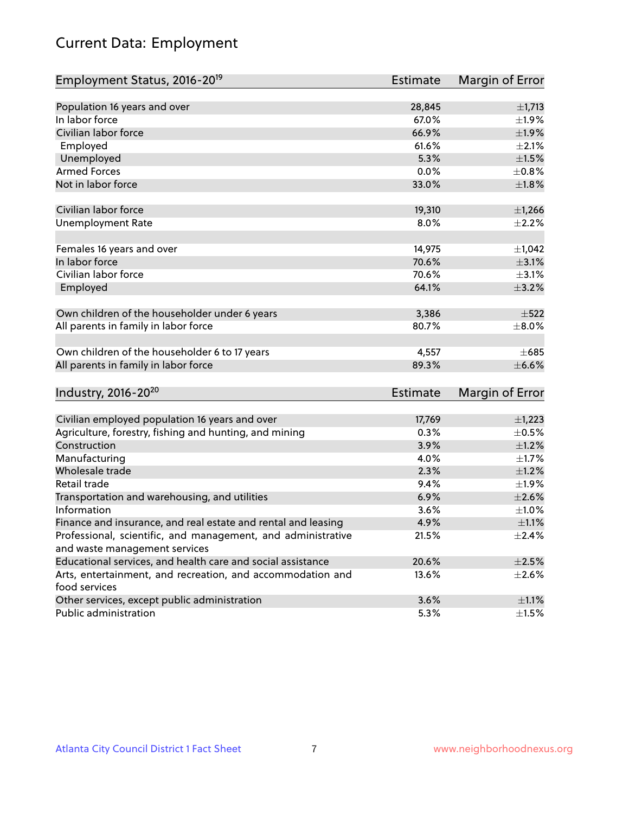# Current Data: Employment

| Employment Status, 2016-20 <sup>19</sup>                                    | <b>Estimate</b> | Margin of Error |
|-----------------------------------------------------------------------------|-----------------|-----------------|
|                                                                             |                 |                 |
| Population 16 years and over                                                | 28,845          | $\pm$ 1,713     |
| In labor force                                                              | 67.0%           | ±1.9%           |
| Civilian labor force                                                        | 66.9%           | ±1.9%           |
| Employed                                                                    | 61.6%           | $\pm 2.1\%$     |
| Unemployed                                                                  | 5.3%            | $\pm 1.5\%$     |
| <b>Armed Forces</b>                                                         | 0.0%            | ±0.8%           |
| Not in labor force                                                          | 33.0%           | ±1.8%           |
| Civilian labor force                                                        | 19,310          | $\pm$ 1,266     |
| <b>Unemployment Rate</b>                                                    | 8.0%            | $\pm 2.2\%$     |
| Females 16 years and over                                                   | 14,975          | ±1,042          |
| In labor force                                                              | 70.6%           | $\pm$ 3.1%      |
| Civilian labor force                                                        | 70.6%           | $\pm$ 3.1%      |
| Employed                                                                    | 64.1%           | $\pm$ 3.2%      |
| Own children of the householder under 6 years                               | 3,386           | $\pm$ 522       |
| All parents in family in labor force                                        | 80.7%           | $\pm$ 8.0%      |
| Own children of the householder 6 to 17 years                               | 4,557           | $+685$          |
| All parents in family in labor force                                        | 89.3%           | $\pm$ 6.6%      |
| Industry, 2016-20 <sup>20</sup>                                             | <b>Estimate</b> | Margin of Error |
|                                                                             |                 |                 |
| Civilian employed population 16 years and over                              | 17,769          | $\pm$ 1,223     |
| Agriculture, forestry, fishing and hunting, and mining                      | 0.3%            | $\pm$ 0.5%      |
| Construction                                                                | 3.9%            | $\pm$ 1.2%      |
| Manufacturing                                                               | 4.0%            | $\pm 1.7\%$     |
| Wholesale trade                                                             | 2.3%            | $\pm 1.2\%$     |
| Retail trade                                                                | 9.4%            | ±1.9%           |
| Transportation and warehousing, and utilities                               | 6.9%            | $\pm 2.6\%$     |
| Information                                                                 | 3.6%            | ±1.0%           |
| Finance and insurance, and real estate and rental and leasing               | 4.9%            | $\pm 1.1\%$     |
| Professional, scientific, and management, and administrative                | 21.5%           | $\pm$ 2.4%      |
| and waste management services                                               |                 |                 |
| Educational services, and health care and social assistance                 | 20.6%           | $\pm 2.5\%$     |
| Arts, entertainment, and recreation, and accommodation and<br>food services | 13.6%           | $\pm 2.6\%$     |
| Other services, except public administration                                | 3.6%            | $\pm 1.1\%$     |
| Public administration                                                       | 5.3%            | $\pm 1.5\%$     |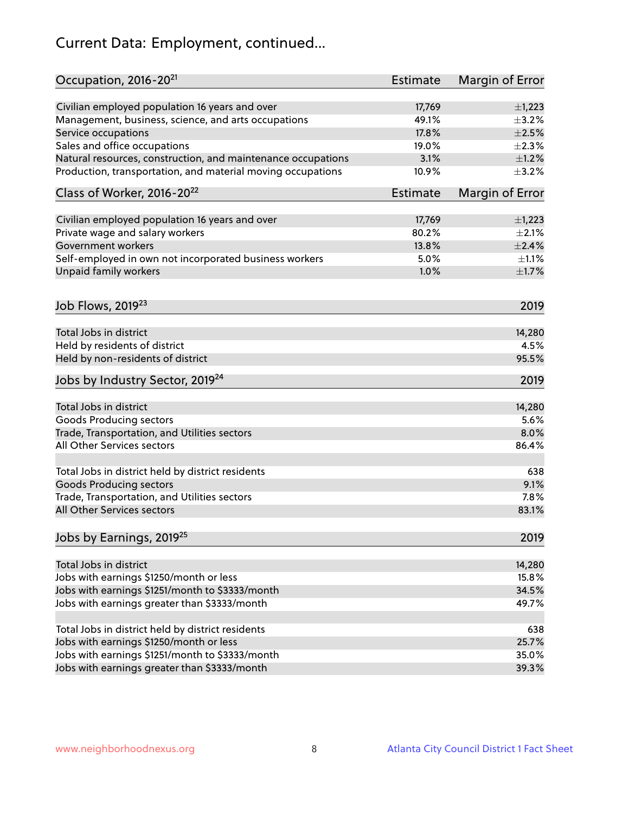# Current Data: Employment, continued...

| Occupation, 2016-20 <sup>21</sup>                            | <b>Estimate</b> | Margin of Error |
|--------------------------------------------------------------|-----------------|-----------------|
| Civilian employed population 16 years and over               | 17,769          | $\pm$ 1,223     |
| Management, business, science, and arts occupations          | 49.1%           | $\pm$ 3.2%      |
| Service occupations                                          | 17.8%           | $\pm 2.5\%$     |
| Sales and office occupations                                 | 19.0%           | $\pm 2.3\%$     |
| Natural resources, construction, and maintenance occupations | 3.1%            | $\pm 1.2\%$     |
| Production, transportation, and material moving occupations  | 10.9%           | $\pm$ 3.2%      |
| Class of Worker, 2016-20 <sup>22</sup>                       | Estimate        | Margin of Error |
| Civilian employed population 16 years and over               | 17,769          | $\pm$ 1,223     |
| Private wage and salary workers                              | 80.2%           | $\pm 2.1\%$     |
| Government workers                                           | 13.8%           | ±2.4%           |
| Self-employed in own not incorporated business workers       | 5.0%            | $\pm 1.1\%$     |
| Unpaid family workers                                        | 1.0%            | $\pm 1.7\%$     |
|                                                              |                 |                 |
| Job Flows, 2019 <sup>23</sup>                                |                 | 2019            |
| Total Jobs in district                                       |                 | 14,280          |
| Held by residents of district                                |                 | 4.5%            |
| Held by non-residents of district                            |                 | 95.5%           |
| Jobs by Industry Sector, 2019 <sup>24</sup>                  |                 | 2019            |
| Total Jobs in district                                       |                 | 14,280          |
| <b>Goods Producing sectors</b>                               |                 | 5.6%            |
| Trade, Transportation, and Utilities sectors                 |                 | 8.0%            |
| All Other Services sectors                                   |                 | 86.4%           |
| Total Jobs in district held by district residents            |                 | 638             |
| <b>Goods Producing sectors</b>                               |                 | 9.1%            |
| Trade, Transportation, and Utilities sectors                 |                 | 7.8%            |
| <b>All Other Services sectors</b>                            |                 | 83.1%           |
| Jobs by Earnings, 2019 <sup>25</sup>                         |                 | 2019            |
|                                                              |                 |                 |
| Total Jobs in district                                       |                 | 14,280          |
| Jobs with earnings \$1250/month or less                      |                 | 15.8%           |
| Jobs with earnings \$1251/month to \$3333/month              |                 | 34.5%           |
| Jobs with earnings greater than \$3333/month                 |                 | 49.7%           |
| Total Jobs in district held by district residents            |                 | 638             |
| Jobs with earnings \$1250/month or less                      |                 | 25.7%           |
| Jobs with earnings \$1251/month to \$3333/month              |                 | 35.0%           |
| Jobs with earnings greater than \$3333/month                 |                 | 39.3%           |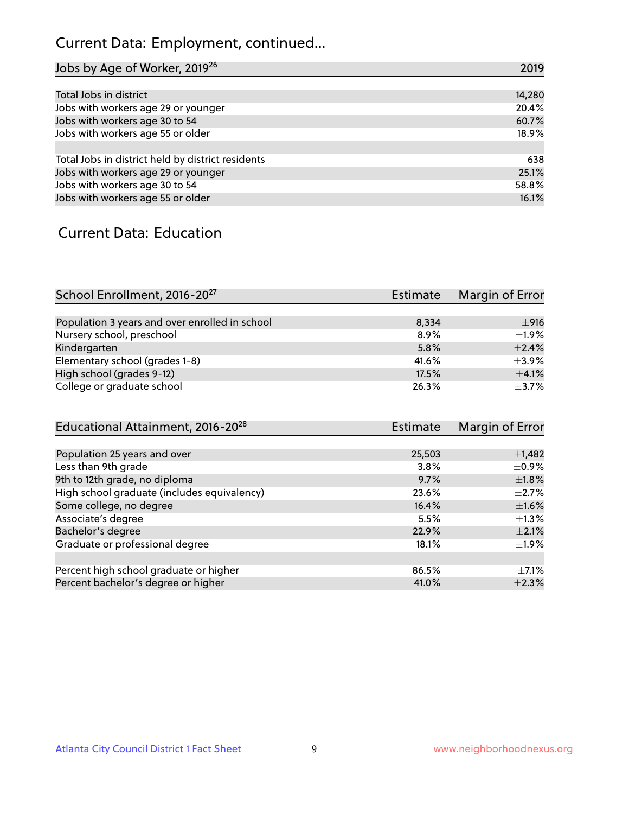# Current Data: Employment, continued...

| Jobs by Age of Worker, 2019 <sup>26</sup>         | 2019   |
|---------------------------------------------------|--------|
|                                                   |        |
| Total Jobs in district                            | 14,280 |
| Jobs with workers age 29 or younger               | 20.4%  |
| Jobs with workers age 30 to 54                    | 60.7%  |
| Jobs with workers age 55 or older                 | 18.9%  |
|                                                   |        |
| Total Jobs in district held by district residents | 638    |
| Jobs with workers age 29 or younger               | 25.1%  |
| Jobs with workers age 30 to 54                    | 58.8%  |
| Jobs with workers age 55 or older                 | 16.1%  |

#### Current Data: Education

| School Enrollment, 2016-20 <sup>27</sup>       | Estimate | Margin of Error |
|------------------------------------------------|----------|-----------------|
|                                                |          |                 |
| Population 3 years and over enrolled in school | 8,334    | ±916            |
| Nursery school, preschool                      | $8.9\%$  | ±1.9%           |
| Kindergarten                                   | 5.8%     | $+2.4%$         |
| Elementary school (grades 1-8)                 | 41.6%    | $\pm$ 3.9%      |
| High school (grades 9-12)                      | 17.5%    | $+4.1%$         |
| College or graduate school                     | 26.3%    | $\pm$ 3.7%      |

| Educational Attainment, 2016-20 <sup>28</sup> | <b>Estimate</b> | Margin of Error |
|-----------------------------------------------|-----------------|-----------------|
|                                               |                 |                 |
| Population 25 years and over                  | 25,503          | $\pm$ 1,482     |
| Less than 9th grade                           | 3.8%            | $\pm$ 0.9%      |
| 9th to 12th grade, no diploma                 | 9.7%            | $\pm1.8\%$      |
| High school graduate (includes equivalency)   | 23.6%           | $\pm 2.7\%$     |
| Some college, no degree                       | 16.4%           | $\pm 1.6\%$     |
| Associate's degree                            | 5.5%            | $\pm 1.3\%$     |
| Bachelor's degree                             | 22.9%           | $\pm 2.1\%$     |
| Graduate or professional degree               | 18.1%           | $\pm 1.9\%$     |
|                                               |                 |                 |
| Percent high school graduate or higher        | 86.5%           | $+7.1%$         |
| Percent bachelor's degree or higher           | 41.0%           | $\pm 2.3\%$     |
|                                               |                 |                 |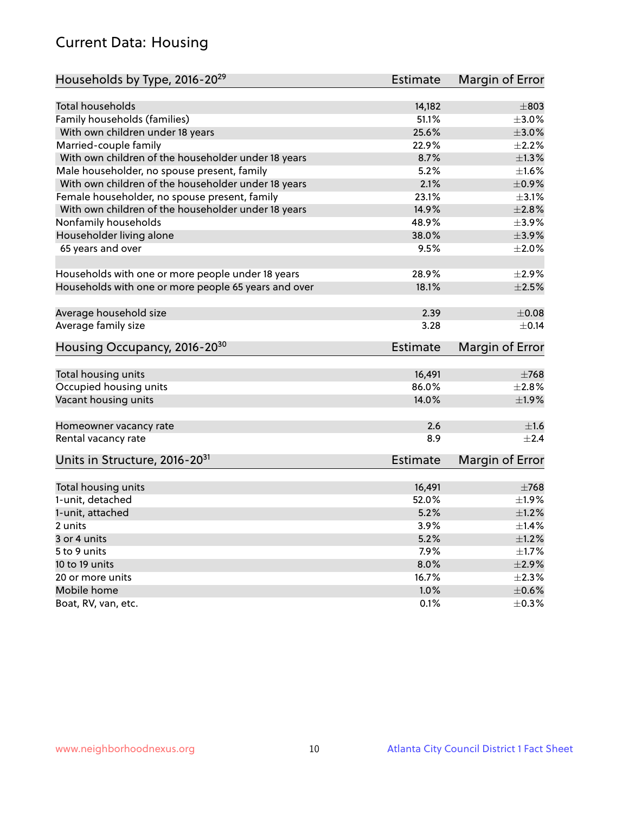# Current Data: Housing

| Households by Type, 2016-20 <sup>29</sup>            | <b>Estimate</b> | Margin of Error |
|------------------------------------------------------|-----------------|-----------------|
|                                                      |                 |                 |
| <b>Total households</b>                              | 14,182          | $\pm 803$       |
| Family households (families)                         | 51.1%           | $\pm 3.0\%$     |
| With own children under 18 years                     | 25.6%           | $\pm 3.0\%$     |
| Married-couple family                                | 22.9%           | $\pm 2.2\%$     |
| With own children of the householder under 18 years  | 8.7%            | $\pm 1.3\%$     |
| Male householder, no spouse present, family          | 5.2%            | $\pm 1.6\%$     |
| With own children of the householder under 18 years  | 2.1%            | ±0.9%           |
| Female householder, no spouse present, family        | 23.1%           | $\pm$ 3.1%      |
| With own children of the householder under 18 years  | 14.9%           | $\pm 2.8\%$     |
| Nonfamily households                                 | 48.9%           | $\pm$ 3.9%      |
| Householder living alone                             | 38.0%           | $\pm$ 3.9%      |
| 65 years and over                                    | 9.5%            | $\pm 2.0\%$     |
|                                                      |                 |                 |
| Households with one or more people under 18 years    | 28.9%           | $\pm 2.9\%$     |
| Households with one or more people 65 years and over | 18.1%           | $\pm 2.5\%$     |
|                                                      |                 |                 |
| Average household size                               | 2.39            | $\pm 0.08$      |
| Average family size                                  | 3.28            | $\pm$ 0.14      |
|                                                      |                 |                 |
| Housing Occupancy, 2016-20 <sup>30</sup>             | <b>Estimate</b> | Margin of Error |
| Total housing units                                  | 16,491          | $\pm 768$       |
| Occupied housing units                               | 86.0%           | $\pm 2.8\%$     |
| Vacant housing units                                 | 14.0%           | ±1.9%           |
|                                                      |                 |                 |
| Homeowner vacancy rate                               | 2.6             | ±1.6            |
| Rental vacancy rate                                  | 8.9             | $\pm 2.4$       |
| Units in Structure, 2016-20 <sup>31</sup>            | <b>Estimate</b> | Margin of Error |
|                                                      |                 |                 |
| Total housing units                                  | 16,491          | $\pm 768$       |
| 1-unit, detached                                     | 52.0%           | ±1.9%           |
| 1-unit, attached                                     | 5.2%            | $\pm 1.2\%$     |
| 2 units                                              | $3.9\%$         | $\pm$ 1.4%      |
| 3 or 4 units                                         | 5.2%            | $\pm1.2\%$      |
| 5 to 9 units                                         | 7.9%            | $\pm 1.7\%$     |
| 10 to 19 units                                       | 8.0%            | $\pm 2.9\%$     |
| 20 or more units                                     | 16.7%           | $\pm 2.3\%$     |
| Mobile home                                          | 1.0%            | $\pm$ 0.6%      |
| Boat, RV, van, etc.                                  | 0.1%            | $\pm$ 0.3%      |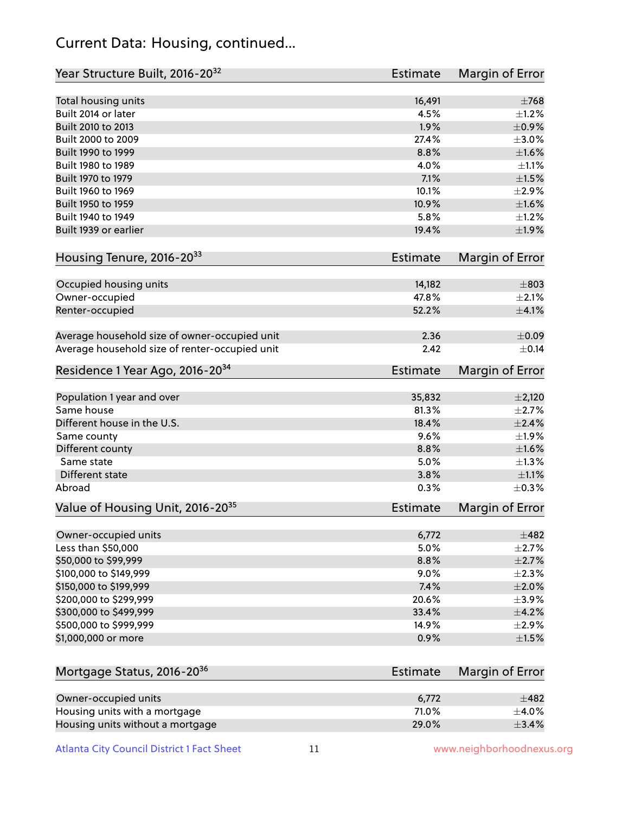## Current Data: Housing, continued...

| Year Structure Built, 2016-20 <sup>32</sup>    | <b>Estimate</b> | Margin of Error |
|------------------------------------------------|-----------------|-----------------|
| Total housing units                            | 16,491          | $\pm 768$       |
| Built 2014 or later                            | 4.5%            | $\pm 1.2\%$     |
| Built 2010 to 2013                             | 1.9%            | $\pm$ 0.9%      |
| Built 2000 to 2009                             | 27.4%           | $\pm 3.0\%$     |
| Built 1990 to 1999                             | 8.8%            | $\pm1.6\%$      |
| Built 1980 to 1989                             | 4.0%            | $\pm 1.1\%$     |
| Built 1970 to 1979                             | 7.1%            | $\pm1.5\%$      |
| Built 1960 to 1969                             | 10.1%           | $\pm 2.9\%$     |
| Built 1950 to 1959                             | 10.9%           | $\pm1.6\%$      |
| Built 1940 to 1949                             | 5.8%            | $\pm 1.2\%$     |
| Built 1939 or earlier                          | 19.4%           | $\pm 1.9\%$     |
| Housing Tenure, 2016-2033                      | Estimate        | Margin of Error |
|                                                |                 |                 |
| Occupied housing units                         | 14,182          | $\pm$ 803       |
| Owner-occupied                                 | 47.8%           | $\pm 2.1\%$     |
| Renter-occupied                                | 52.2%           | $\pm$ 4.1%      |
| Average household size of owner-occupied unit  | 2.36            | $\pm$ 0.09      |
| Average household size of renter-occupied unit | 2.42            | $\pm$ 0.14      |
| Residence 1 Year Ago, 2016-20 <sup>34</sup>    | Estimate        | Margin of Error |
| Population 1 year and over                     | 35,832          | $\pm 2,120$     |
| Same house                                     | 81.3%           | $\pm 2.7\%$     |
| Different house in the U.S.                    | 18.4%           | $\pm 2.4\%$     |
| Same county                                    | 9.6%            | ±1.9%           |
| Different county                               | 8.8%            | $\pm1.6\%$      |
| Same state                                     | 5.0%            | $\pm 1.3\%$     |
| Different state                                | 3.8%            | $\pm 1.1\%$     |
| Abroad                                         | 0.3%            | $\pm$ 0.3%      |
|                                                |                 |                 |
| Value of Housing Unit, 2016-20 <sup>35</sup>   | <b>Estimate</b> | Margin of Error |
| Owner-occupied units                           | 6,772           | $\pm$ 482       |
| Less than \$50,000                             | 5.0%            | $\pm 2.7\%$     |
| \$50,000 to \$99,999                           | 8.8%            | $\pm 2.7\%$     |
| \$100,000 to \$149,999                         | 9.0%            | $\pm 2.3\%$     |
| \$150,000 to \$199,999                         | 7.4%            | $\pm 2.0\%$     |
| \$200,000 to \$299,999                         | 20.6%           | $\pm$ 3.9%      |
| \$300,000 to \$499,999                         | 33.4%           | $\pm$ 4.2%      |
| \$500,000 to \$999,999                         | 14.9%           | ±2.9%           |
| \$1,000,000 or more                            | 0.9%            | $\pm 1.5\%$     |
|                                                |                 |                 |
| Mortgage Status, 2016-20 <sup>36</sup>         | Estimate        | Margin of Error |
|                                                |                 |                 |
| Owner-occupied units                           | 6,772           | $\pm$ 482       |
| Housing units with a mortgage                  | 71.0%           | $\pm$ 4.0%      |
| Housing units without a mortgage               | 29.0%           | $\pm$ 3.4%      |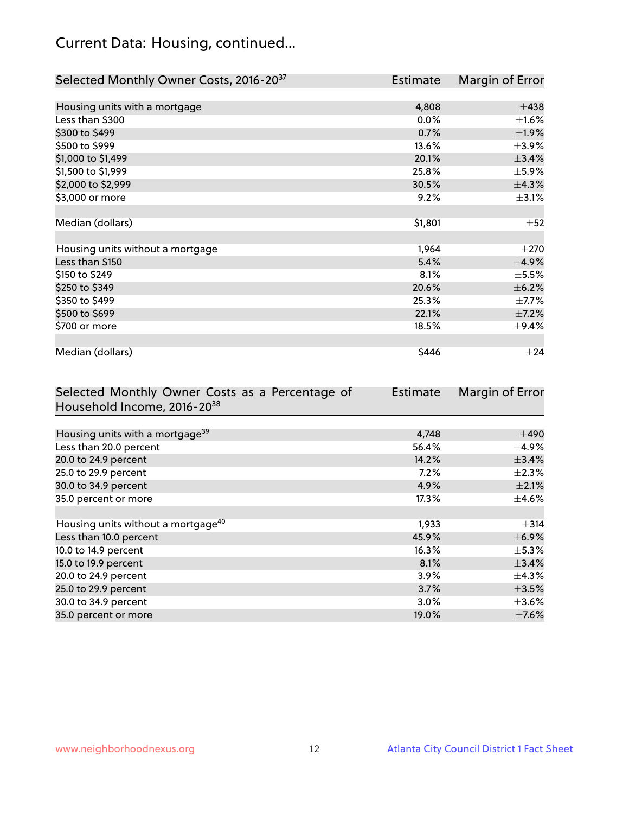# Current Data: Housing, continued...

| Selected Monthly Owner Costs, 2016-20 <sup>37</sup> | Estimate | Margin of Error |
|-----------------------------------------------------|----------|-----------------|
|                                                     |          |                 |
| Housing units with a mortgage                       | 4,808    | $\pm$ 438       |
| Less than \$300                                     | $0.0\%$  | $\pm 1.6\%$     |
| \$300 to \$499                                      | 0.7%     | $\pm$ 1.9%      |
| \$500 to \$999                                      | 13.6%    | $\pm$ 3.9%      |
| \$1,000 to \$1,499                                  | 20.1%    | ±3.4%           |
| \$1,500 to \$1,999                                  | 25.8%    | $\pm$ 5.9%      |
| \$2,000 to \$2,999                                  | 30.5%    | ±4.3%           |
| \$3,000 or more                                     | 9.2%     | $\pm$ 3.1%      |
|                                                     |          |                 |
| Median (dollars)                                    | \$1,801  | $\pm$ 52        |
|                                                     |          |                 |
| Housing units without a mortgage                    | 1,964    | $\pm 270$       |
| Less than \$150                                     | 5.4%     | ±4.9%           |
| \$150 to \$249                                      | 8.1%     | $\pm$ 5.5%      |
| \$250 to \$349                                      | 20.6%    | $\pm$ 6.2%      |
| \$350 to \$499                                      | 25.3%    | $\pm$ 7.7%      |
| \$500 to \$699                                      | 22.1%    | $\pm$ 7.2%      |
| \$700 or more                                       | 18.5%    | $\pm$ 9.4%      |
|                                                     |          |                 |
| Median (dollars)                                    | \$446    | $\pm$ 24        |

| Selected Monthly Owner Costs as a Percentage of | <b>Estimate</b> | Margin of Error |
|-------------------------------------------------|-----------------|-----------------|
| Household Income, 2016-20 <sup>38</sup>         |                 |                 |
|                                                 |                 |                 |
| Housing units with a mortgage <sup>39</sup>     | 4,748           | $\pm$ 490       |
| Less than 20.0 percent                          | 56.4%           | $\pm$ 4.9%      |
| 20.0 to 24.9 percent                            | 14.2%           | $\pm$ 3.4%      |
| 25.0 to 29.9 percent                            | $7.2\%$         | $\pm 2.3\%$     |
| 30.0 to 34.9 percent                            | 4.9%            | $\pm 2.1\%$     |
| 35.0 percent or more                            | 17.3%           | $\pm$ 4.6%      |
|                                                 |                 |                 |
| Housing units without a mortgage <sup>40</sup>  | 1,933           | $\pm$ 314       |
| Less than 10.0 percent                          | 45.9%           | $\pm$ 6.9%      |
| 10.0 to 14.9 percent                            | 16.3%           | $\pm$ 5.3%      |
| 15.0 to 19.9 percent                            | 8.1%            | ±3.4%           |
| 20.0 to 24.9 percent                            | $3.9\%$         | $\pm$ 4.3%      |
| 25.0 to 29.9 percent                            | 3.7%            | $\pm$ 3.5%      |
| 30.0 to 34.9 percent                            | $3.0\%$         | $\pm 3.6\%$     |
| 35.0 percent or more                            | 19.0%           | $\pm$ 7.6%      |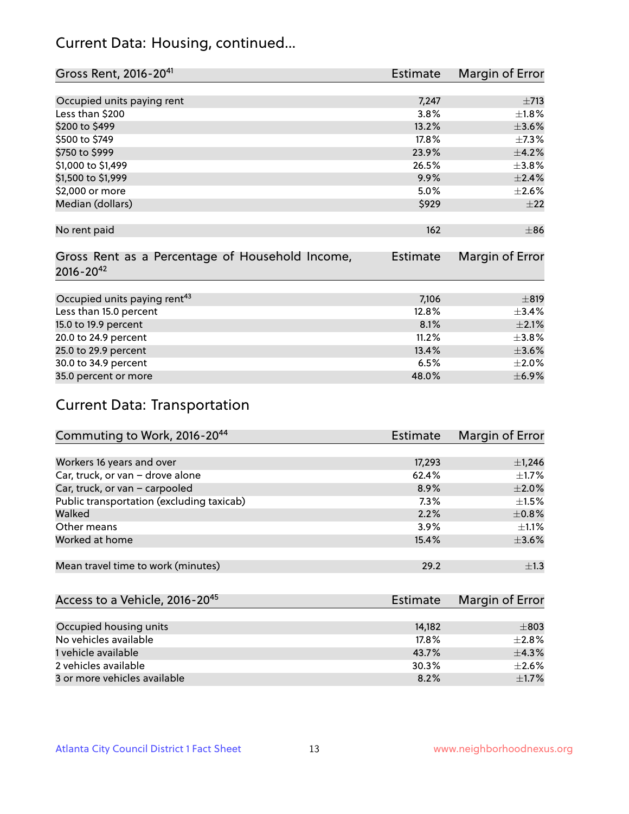## Current Data: Housing, continued...

| Gross Rent, 2016-20 <sup>41</sup>                                   | Estimate        | Margin of Error |
|---------------------------------------------------------------------|-----------------|-----------------|
|                                                                     |                 |                 |
| Occupied units paying rent                                          | 7,247           | $\pm$ 713       |
| Less than \$200                                                     | 3.8%            | $\pm1.8\%$      |
| \$200 to \$499                                                      | 13.2%           | $\pm 3.6\%$     |
| \$500 to \$749                                                      | 17.8%           | $\pm$ 7.3%      |
| \$750 to \$999                                                      | 23.9%           | $\pm$ 4.2%      |
| \$1,000 to \$1,499                                                  | 26.5%           | $\pm$ 3.8%      |
| \$1,500 to \$1,999                                                  | 9.9%            | $\pm 2.4\%$     |
| \$2,000 or more                                                     | 5.0%            | $\pm 2.6\%$     |
| Median (dollars)                                                    | \$929           | ±22             |
|                                                                     |                 |                 |
| No rent paid                                                        | 162             | $\pm$ 86        |
| Gross Rent as a Percentage of Household Income,<br>$2016 - 20^{42}$ | <b>Estimate</b> | Margin of Error |
|                                                                     |                 |                 |
| Occupied units paying rent <sup>43</sup>                            | 7,106           | ±819            |
| Less than 15.0 percent                                              | 12.8%           | ±3.4%           |
| 15.0 to 19.9 percent                                                | 8.1%            | $\pm 2.1\%$     |
| 20.0 to 24.9 percent                                                | 11.2%           | $\pm$ 3.8%      |
| 25.0 to 29.9 percent                                                | 13.4%           | $\pm 3.6\%$     |
| 30.0 to 34.9 percent                                                | 6.5%            | $\pm 2.0\%$     |
| 35.0 percent or more                                                | 48.0%           | $\pm$ 6.9%      |

# Current Data: Transportation

| Commuting to Work, 2016-20 <sup>44</sup>  | <b>Estimate</b> | Margin of Error |
|-------------------------------------------|-----------------|-----------------|
|                                           |                 |                 |
| Workers 16 years and over                 | 17,293          | $\pm$ 1,246     |
| Car, truck, or van - drove alone          | 62.4%           | $\pm 1.7\%$     |
| Car, truck, or van - carpooled            | 8.9%            | $\pm 2.0\%$     |
| Public transportation (excluding taxicab) | 7.3%            | $\pm 1.5\%$     |
| Walked                                    | 2.2%            | $\pm$ 0.8%      |
| Other means                               | 3.9%            | $\pm 1.1\%$     |
| Worked at home                            | 15.4%           | $\pm 3.6\%$     |
|                                           |                 |                 |
| Mean travel time to work (minutes)        | 29.2            | $\pm 1.3$       |

| Access to a Vehicle, 2016-20 <sup>45</sup> | Estimate | Margin of Error |
|--------------------------------------------|----------|-----------------|
|                                            |          |                 |
| Occupied housing units                     | 14.182   | $\pm$ 803       |
| No vehicles available                      | 17.8%    | $+2.8%$         |
| 1 vehicle available                        | 43.7%    | $\pm$ 4.3%      |
| 2 vehicles available                       | 30.3%    | $+2.6%$         |
| 3 or more vehicles available               | 8.2%     | $\pm$ 1.7%      |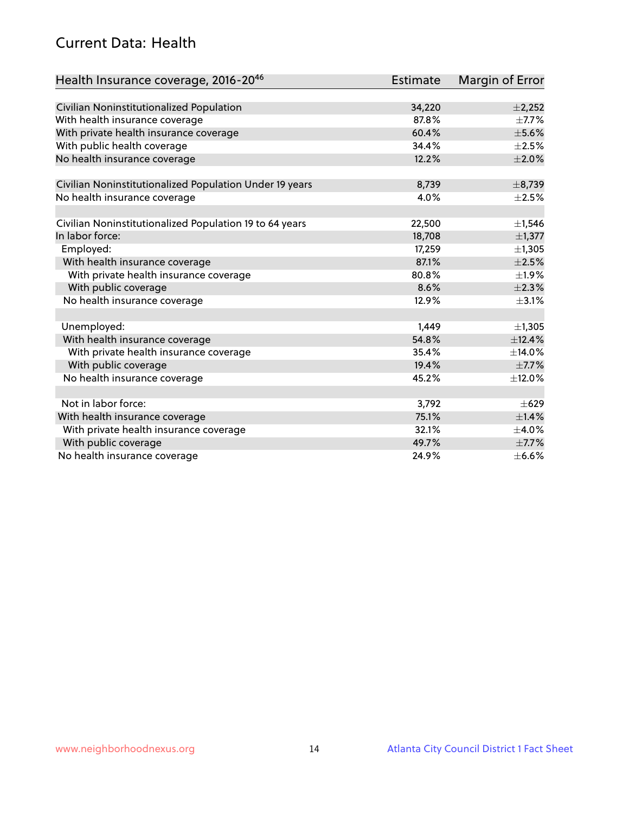## Current Data: Health

| Health Insurance coverage, 2016-2046                    | <b>Estimate</b> | Margin of Error |
|---------------------------------------------------------|-----------------|-----------------|
|                                                         |                 |                 |
| Civilian Noninstitutionalized Population                | 34,220          | $\pm$ 2,252     |
| With health insurance coverage                          | 87.8%           | $\pm$ 7.7%      |
| With private health insurance coverage                  | 60.4%           | $\pm$ 5.6%      |
| With public health coverage                             | 34.4%           | $\pm 2.5\%$     |
| No health insurance coverage                            | 12.2%           | $\pm 2.0\%$     |
| Civilian Noninstitutionalized Population Under 19 years | 8,739           | ±8,739          |
| No health insurance coverage                            | 4.0%            | $\pm 2.5\%$     |
|                                                         |                 |                 |
| Civilian Noninstitutionalized Population 19 to 64 years | 22,500          | $\pm$ 1,546     |
| In labor force:                                         | 18,708          | $\pm$ 1,377     |
| Employed:                                               | 17,259          | ±1,305          |
| With health insurance coverage                          | 87.1%           | $\pm 2.5\%$     |
| With private health insurance coverage                  | 80.8%           | ±1.9%           |
| With public coverage                                    | 8.6%            | $\pm 2.3\%$     |
| No health insurance coverage                            | 12.9%           | $\pm$ 3.1%      |
|                                                         |                 |                 |
| Unemployed:                                             | 1,449           | ±1,305          |
| With health insurance coverage                          | 54.8%           | ±12.4%          |
| With private health insurance coverage                  | 35.4%           | ±14.0%          |
| With public coverage                                    | 19.4%           | $\pm$ 7.7%      |
| No health insurance coverage                            | 45.2%           | ±12.0%          |
|                                                         |                 |                 |
| Not in labor force:                                     | 3,792           | $\pm 629$       |
| With health insurance coverage                          | 75.1%           | $\pm$ 1.4%      |
| With private health insurance coverage                  | 32.1%           | $\pm$ 4.0%      |
| With public coverage                                    | 49.7%           | $\pm$ 7.7%      |
| No health insurance coverage                            | 24.9%           | $\pm$ 6.6%      |